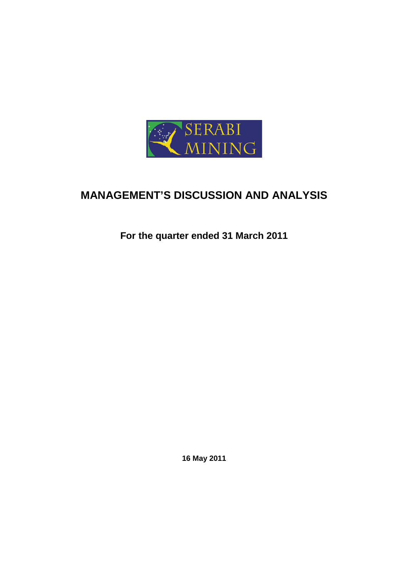

# **MANAGEMENT'S DISCUSSION AND ANALYSIS**

**For the quarter ended 31 March 2011** 

**16 May 2011**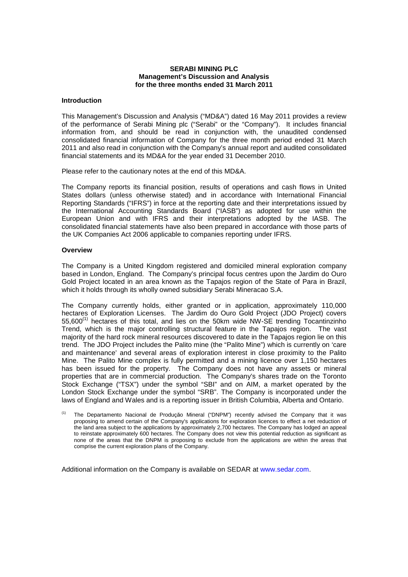#### **SERABI MINING PLC Management's Discussion and Analysis for the three months ended 31 March 2011**

#### **Introduction**

This Management's Discussion and Analysis ("MD&A") dated 16 May 2011 provides a review of the performance of Serabi Mining plc ("Serabi" or the "Company"). It includes financial information from, and should be read in conjunction with, the unaudited condensed consolidated financial information of Company for the three month period ended 31 March 2011 and also read in conjunction with the Company's annual report and audited consolidated financial statements and its MD&A for the year ended 31 December 2010.

Please refer to the cautionary notes at the end of this MD&A.

The Company reports its financial position, results of operations and cash flows in United States dollars (unless otherwise stated) and in accordance with International Financial Reporting Standards ("IFRS") in force at the reporting date and their interpretations issued by the International Accounting Standards Board ("IASB") as adopted for use within the European Union and with IFRS and their interpretations adopted by the IASB. The consolidated financial statements have also been prepared in accordance with those parts of the UK Companies Act 2006 applicable to companies reporting under IFRS.

#### **Overview**

The Company is a United Kingdom registered and domiciled mineral exploration company based in London, England. The Company's principal focus centres upon the Jardim do Ouro Gold Project located in an area known as the Tapajos region of the State of Para in Brazil, which it holds through its wholly owned subsidiary Serabi Mineracao S.A.

The Company currently holds, either granted or in application, approximately 110,000 hectares of Exploration Licenses. The Jardim do Ouro Gold Project (JDO Project) covers 55,600<sup>(1)</sup> hectares of this total, and lies on the 50km wide NW-SE trending Tocantinzinho Trend, which is the major controlling structural feature in the Tapajos region. The vast majority of the hard rock mineral resources discovered to date in the Tapajos region lie on this trend. The JDO Project includes the Palito mine (the "Palito Mine") which is currently on 'care and maintenance' and several areas of exploration interest in close proximity to the Palito Mine. The Palito Mine complex is fully permitted and a mining licence over 1,150 hectares has been issued for the property. The Company does not have any assets or mineral properties that are in commercial production. The Company's shares trade on the Toronto Stock Exchange ("TSX") under the symbol "SBI" and on AIM, a market operated by the London Stock Exchange under the symbol "SRB". The Company is incorporated under the laws of England and Wales and is a reporting issuer in British Columbia, Alberta and Ontario.

Additional information on the Company is available on SEDAR at www.sedar.com.

<sup>(1)</sup> The Departamento Nacional de Produçăo Mineral ("DNPM") recently advised the Company that it was proposing to amend certain of the Company's applications for exploration licences to effect a net reduction of the land area subject to the applications by approximately 2,700 hectares. The Company has lodged an appeal to reinstate approximately 600 hectares. The Company does not view this potential reduction as significant as none of the areas that the DNPM is proposing to exclude from the applications are within the areas that comprise the current exploration plans of the Company.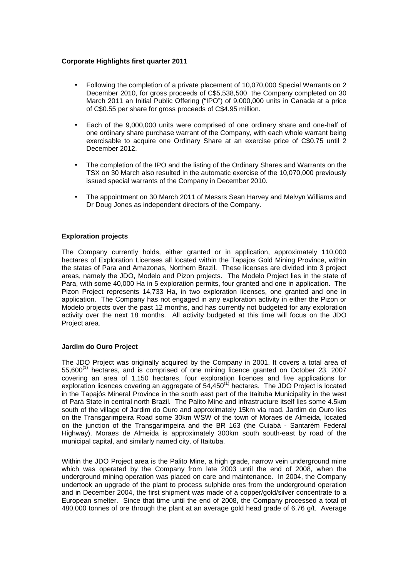# **Corporate Highlights first quarter 2011**

- Following the completion of a private placement of 10,070,000 Special Warrants on 2 December 2010, for gross proceeds of C\$5,538,500, the Company completed on 30 March 2011 an Initial Public Offering ("IPO") of 9,000,000 units in Canada at a price of C\$0.55 per share for gross proceeds of C\$4.95 million.
- Each of the 9,000,000 units were comprised of one ordinary share and one-half of one ordinary share purchase warrant of the Company, with each whole warrant being exercisable to acquire one Ordinary Share at an exercise price of C\$0.75 until 2 December 2012.
- The completion of the IPO and the listing of the Ordinary Shares and Warrants on the TSX on 30 March also resulted in the automatic exercise of the 10,070,000 previously issued special warrants of the Company in December 2010.
- The appointment on 30 March 2011 of Messrs Sean Harvey and Melvyn Williams and Dr Doug Jones as independent directors of the Company.

# **Exploration projects**

The Company currently holds, either granted or in application, approximately 110,000 hectares of Exploration Licenses all located within the Tapajos Gold Mining Province, within the states of Para and Amazonas, Northern Brazil. These licenses are divided into 3 project areas, namely the JDO, Modelo and Pizon projects. The Modelo Project lies in the state of Para, with some 40,000 Ha in 5 exploration permits, four granted and one in application. The Pizon Project represents 14,733 Ha, in two exploration licenses, one granted and one in application. The Company has not engaged in any exploration activity in either the Pizon or Modelo projects over the past 12 months, and has currently not budgeted for any exploration activity over the next 18 months. All activity budgeted at this time will focus on the JDO Project area.

#### **Jardim do Ouro Project**

The JDO Project was originally acquired by the Company in 2001. It covers a total area of 55,600<sup>(1)</sup> hectares, and is comprised of one mining licence granted on October 23, 2007 covering an area of 1,150 hectares, four exploration licences and five applications for exploration licences covering an aggregate of 54,450<sup>(1)</sup> hectares. The JDO Project is located in the Tapajós Mineral Province in the south east part of the Itaituba Municipality in the west of Pará State in central north Brazil. The Palito Mine and infrastructure itself lies some 4.5km south of the village of Jardim do Ouro and approximately 15km via road. Jardim do Ouro lies on the Transgarimpeira Road some 30km WSW of the town of Moraes de Almeida, located on the junction of the Transgarimpeira and the BR 163 (the Cuiabá - Santarém Federal Highway). Moraes de Almeida is approximately 300km south south-east by road of the municipal capital, and similarly named city, of Itaituba.

Within the JDO Project area is the Palito Mine, a high grade, narrow vein underground mine which was operated by the Company from late 2003 until the end of 2008, when the underground mining operation was placed on care and maintenance. In 2004, the Company undertook an upgrade of the plant to process sulphide ores from the underground operation and in December 2004, the first shipment was made of a copper/gold/silver concentrate to a European smelter. Since that time until the end of 2008, the Company processed a total of 480,000 tonnes of ore through the plant at an average gold head grade of 6.76 g/t. Average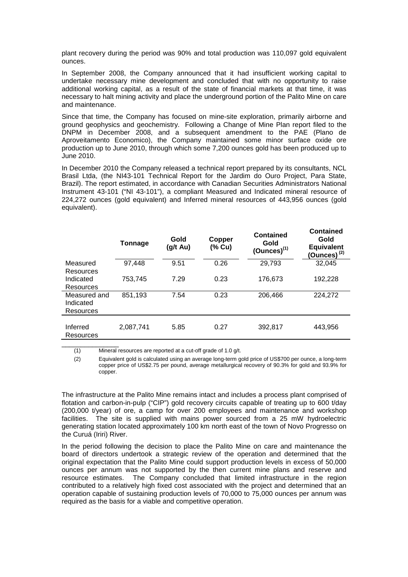plant recovery during the period was 90% and total production was 110,097 gold equivalent ounces.

In September 2008, the Company announced that it had insufficient working capital to undertake necessary mine development and concluded that with no opportunity to raise additional working capital, as a result of the state of financial markets at that time, it was necessary to halt mining activity and place the underground portion of the Palito Mine on care and maintenance.

Since that time, the Company has focused on mine-site exploration, primarily airborne and ground geophysics and geochemistry. Following a Change of Mine Plan report filed to the DNPM in December 2008, and a subsequent amendment to the PAE (Plano de Aproveitamento Economico), the Company maintained some minor surface oxide ore production up to June 2010, through which some 7,200 ounces gold has been produced up to June 2010.

In December 2010 the Company released a technical report prepared by its consultants, NCL Brasil Ltda, (the NI43-101 Technical Report for the Jardim do Ouro Project, Para State, Brazil). The report estimated, in accordance with Canadian Securities Administrators National Instrument 43-101 ("NI 43-101"), a compliant Measured and Indicated mineral resource of 224,272 ounces (gold equivalent) and Inferred mineral resources of 443,956 ounces (gold equivalent).

|                                        | Tonnage   | Gold<br>(g/t Au) | Copper<br>(% Cu) | <b>Contained</b><br>Gold<br>$(Qunces)^{(1)}$ | <b>Contained</b><br>Gold<br><b>Equivalent</b><br>$(Qunces)^{(2)}$ |
|----------------------------------------|-----------|------------------|------------------|----------------------------------------------|-------------------------------------------------------------------|
| Measured                               | 97,448    | 9.51             | 0.26             | 29,793                                       | 32,045                                                            |
| Resources<br>Indicated<br>Resources    | 753.745   | 7.29             | 0.23             | 176,673                                      | 192,228                                                           |
| Measured and<br>Indicated<br>Resources | 851,193   | 7.54             | 0.23             | 206,466                                      | 224,272                                                           |
| Inferred<br>Resources                  | 2,087,741 | 5.85             | 0.27             | 392,817                                      | 443,956                                                           |
|                                        |           |                  |                  |                                              |                                                                   |

(1) Mineral resources are reported at a cut-off grade of 1.0 g/t.

(2) Equivalent gold is calculated using an average long-term gold price of US\$700 per ounce, a long-term copper price of US\$2.75 per pound, average metallurgical recovery of 90.3% for gold and 93.9% for copper.

The infrastructure at the Palito Mine remains intact and includes a process plant comprised of flotation and carbon-in-pulp ("CIP") gold recovery circuits capable of treating up to 600 t/day (200,000 t/year) of ore, a camp for over 200 employees and maintenance and workshop facilities. The site is supplied with mains power sourced from a 25 mW hydroelectric generating station located approximately 100 km north east of the town of Novo Progresso on the Curuá (Iriri) River.

In the period following the decision to place the Palito Mine on care and maintenance the board of directors undertook a strategic review of the operation and determined that the original expectation that the Palito Mine could support production levels in excess of 50,000 ounces per annum was not supported by the then current mine plans and reserve and resource estimates. The Company concluded that limited infrastructure in the region contributed to a relatively high fixed cost associated with the project and determined that an operation capable of sustaining production levels of 70,000 to 75,000 ounces per annum was required as the basis for a viable and competitive operation.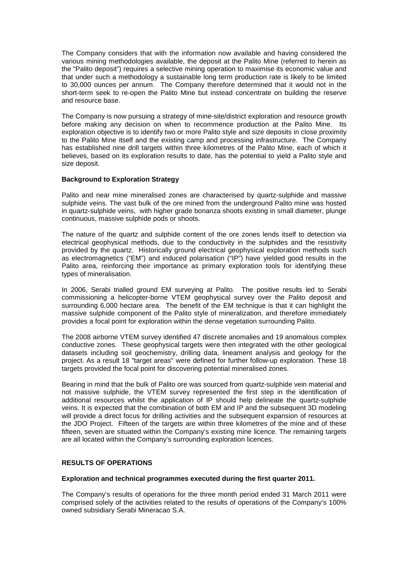The Company considers that with the information now available and having considered the various mining methodologies available, the deposit at the Palito Mine (referred to herein as the "Palito deposit") requires a selective mining operation to maximise its economic value and that under such a methodology a sustainable long term production rate is likely to be limited to 30,000 ounces per annum. The Company therefore determined that it would not in the short-term seek to re-open the Palito Mine but instead concentrate on building the reserve and resource base.

The Company is now pursuing a strategy of mine-site/district exploration and resource growth before making any decision on when to recommence production at the Palito Mine. Its exploration objective is to identify two or more Palito style and size deposits in close proximity to the Palito Mine itself and the existing camp and processing infrastructure. The Company has established nine drill targets within three kilometres of the Palito Mine, each of which it believes, based on its exploration results to date, has the potential to yield a Palito style and size deposit.

# **Background to Exploration Strategy**

Palito and near mine mineralised zones are characterised by quartz-sulphide and massive sulphide veins. The vast bulk of the ore mined from the underground Palito mine was hosted in quartz-sulphide veins, with higher grade bonanza shoots existing in small diameter, plunge continuous, massive sulphide pods or shoots.

The nature of the quartz and sulphide content of the ore zones lends itself to detection via electrical geophysical methods, due to the conductivity in the sulphides and the resistivity provided by the quartz. Historically ground electrical geophysical exploration methods such as electromagnetics ("EM") and induced polarisation ("IP") have yielded good results in the Palito area, reinforcing their importance as primary exploration tools for identifying these types of mineralisation.

In 2006, Serabi trialled ground EM surveying at Palito. The positive results led to Serabi commissioning a helicopter-borne VTEM geophysical survey over the Palito deposit and surrounding 6,000 hectare area. The benefit of the EM technique is that it can highlight the massive sulphide component of the Palito style of mineralization, and therefore immediately provides a focal point for exploration within the dense vegetation surrounding Palito.

The 2008 airborne VTEM survey identified 47 discrete anomalies and 19 anomalous complex conductive zones. These geophysical targets were then integrated with the other geological datasets including soil geochemistry, drilling data, lineament analysis and geology for the project. As a result 18 "target areas" were defined for further follow-up exploration. These 18 targets provided the focal point for discovering potential mineralised zones.

Bearing in mind that the bulk of Palito ore was sourced from quartz-sulphide vein material and not massive sulphide, the VTEM survey represented the first step in the identification of additional resources whilst the application of IP should help delineate the quartz-sulphide veins. It is expected that the combination of both EM and IP and the subsequent 3D modeling will provide a direct focus for drilling activities and the subsequent expansion of resources at the JDO Project. Fifteen of the targets are within three kilometres of the mine and of these fifteen, seven are situated within the Company's existing mine licence. The remaining targets are all located within the Company's surrounding exploration licences.

# **RESULTS OF OPERATIONS**

# **Exploration and technical programmes executed during the first quarter 2011.**

The Company's results of operations for the three month period ended 31 March 2011 were comprised solely of the activities related to the results of operations of the Company's 100% owned subsidiary Serabi Mineracao S.A.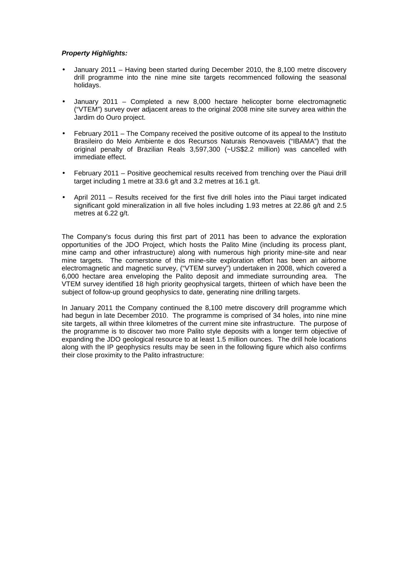# **Property Highlights:**

- January 2011 Having been started during December 2010, the 8,100 metre discovery drill programme into the nine mine site targets recommenced following the seasonal holidays.
- January 2011 Completed a new 8,000 hectare helicopter borne electromagnetic ("VTEM") survey over adjacent areas to the original 2008 mine site survey area within the Jardim do Ouro project.
- February 2011 The Company received the positive outcome of its appeal to the Instituto Brasileiro do Meio Ambiente e dos Recursos Naturais Renovaveis ("IBAMA") that the original penalty of Brazilian Reals 3,597,300 (~US\$2.2 million) was cancelled with immediate effect.
- February 2011 Positive geochemical results received from trenching over the Piaui drill target including 1 metre at 33.6 g/t and 3.2 metres at 16.1 g/t.
- April 2011 Results received for the first five drill holes into the Piaui target indicated significant gold mineralization in all five holes including 1.93 metres at 22.86 g/t and 2.5 metres at 6.22 g/t.

The Company's focus during this first part of 2011 has been to advance the exploration opportunities of the JDO Project, which hosts the Palito Mine (including its process plant, mine camp and other infrastructure) along with numerous high priority mine-site and near mine targets. The cornerstone of this mine-site exploration effort has been an airborne electromagnetic and magnetic survey, ("VTEM survey") undertaken in 2008, which covered a 6,000 hectare area enveloping the Palito deposit and immediate surrounding area. The VTEM survey identified 18 high priority geophysical targets, thirteen of which have been the subject of follow-up ground geophysics to date, generating nine drilling targets.

In January 2011 the Company continued the 8,100 metre discovery drill programme which had begun in late December 2010. The programme is comprised of 34 holes, into nine mine site targets, all within three kilometres of the current mine site infrastructure. The purpose of the programme is to discover two more Palito style deposits with a longer term objective of expanding the JDO geological resource to at least 1.5 million ounces. The drill hole locations along with the IP geophysics results may be seen in the following figure which also confirms their close proximity to the Palito infrastructure: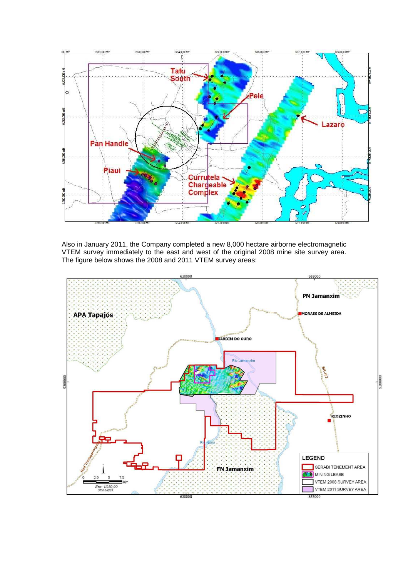

Also in January 2011, the Company completed a new 8,000 hectare airborne electromagnetic VTEM survey immediately to the east and west of the original 2008 mine site survey area. The figure below shows the 2008 and 2011 VTEM survey areas:

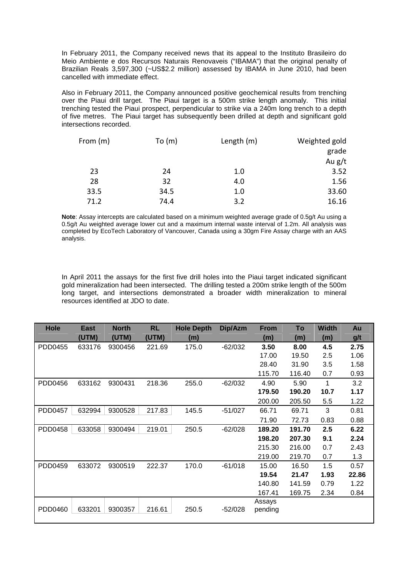In February 2011, the Company received news that its appeal to the Instituto Brasileiro do Meio Ambiente e dos Recursos Naturais Renovaveis ("IBAMA") that the original penalty of Brazilian Reals 3,597,300 (~US\$2.2 million) assessed by IBAMA in June 2010, had been cancelled with immediate effect.

Also in February 2011, the Company announced positive geochemical results from trenching over the Piaui drill target. The Piaui target is a 500m strike length anomaly. This initial trenching tested the Piaui prospect, perpendicular to strike via a 240m long trench to a depth of five metres. The Piaui target has subsequently been drilled at depth and significant gold intersections recorded.

| From (m) | To $(m)$ | Length (m) | Weighted gold |
|----------|----------|------------|---------------|
|          |          |            | grade         |
|          |          |            | Au $g/t$      |
| 23       | 24       | 1.0        | 3.52          |
| 28       | 32       | 4.0        | 1.56          |
| 33.5     | 34.5     | 1.0        | 33.60         |
| 71.2     | 74.4     | 3.2        | 16.16         |

**Note**: Assay intercepts are calculated based on a minimum weighted average grade of 0.5g/t Au using a 0.5g/t Au weighted average lower cut and a maximum internal waste interval of 1.2m. All analysis was completed by EcoTech Laboratory of Vancouver, Canada using a 30gm Fire Assay charge with an AAS analysis.

In April 2011 the assays for the first five drill holes into the Piaui target indicated significant gold mineralization had been intersected. The drilling tested a 200m strike length of the 500m long target, and intersections demonstrated a broader width mineralization to mineral resources identified at JDO to date.

| Hole    | <b>East</b> | <b>North</b> | <b>RL</b> | <b>Hole Depth</b> | Dip/Azm   | <b>From</b> | To     | <b>Width</b> | Au    |
|---------|-------------|--------------|-----------|-------------------|-----------|-------------|--------|--------------|-------|
|         | (UTM)       | (UTM)        | (UTM)     | (m)               |           | (m)         | (m)    | (m)          | g/t   |
| PDD0455 | 633176      | 9300456      | 221.69    | 175.0             | $-62/032$ | 3.50        | 8.00   | 4.5          | 2.75  |
|         |             |              |           |                   |           | 17.00       | 19.50  | 2.5          | 1.06  |
|         |             |              |           |                   |           | 28.40       | 31.90  | 3.5          | 1.58  |
|         |             |              |           |                   |           | 115.70      | 116.40 | 0.7          | 0.93  |
| PDD0456 | 633162      | 9300431      | 218.36    | 255.0             | $-62/032$ | 4.90        | 5.90   | 1            | 3.2   |
|         |             |              |           |                   |           | 179.50      | 190.20 | 10.7         | 1.17  |
|         |             |              |           |                   |           | 200.00      | 205.50 | 5.5          | 1.22  |
| PDD0457 | 632994      | 9300528      | 217.83    | 145.5             | $-51/027$ | 66.71       | 69.71  | 3            | 0.81  |
|         |             |              |           |                   |           | 71.90       | 72.73  | 0.83         | 0.88  |
| PDD0458 | 633058      | 9300494      | 219.01    | 250.5             | $-62/028$ | 189.20      | 191.70 | 2.5          | 6.22  |
|         |             |              |           |                   |           | 198.20      | 207.30 | 9.1          | 2.24  |
|         |             |              |           |                   |           | 215.30      | 216.00 | 0.7          | 2.43  |
|         |             |              |           |                   |           | 219.00      | 219.70 | 0.7          | 1.3   |
| PDD0459 | 633072      | 9300519      | 222.37    | 170.0             | $-61/018$ | 15.00       | 16.50  | 1.5          | 0.57  |
|         |             |              |           |                   |           | 19.54       | 21.47  | 1.93         | 22.86 |
|         |             |              |           |                   |           | 140.80      | 141.59 | 0.79         | 1.22  |
|         |             |              |           |                   |           | 167.41      | 169.75 | 2.34         | 0.84  |
|         |             |              |           |                   |           | Assays      |        |              |       |
| PDD0460 | 633201      | 9300357      | 216.61    | 250.5             | $-52/028$ | pending     |        |              |       |
|         |             |              |           |                   |           |             |        |              |       |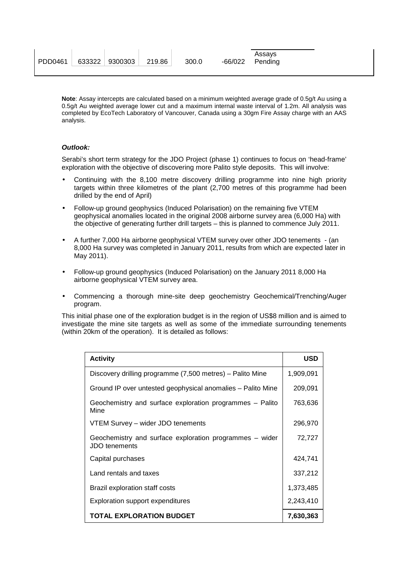|                                     |  |       | Assavs            |  |
|-------------------------------------|--|-------|-------------------|--|
| PDD0461   633322   9300303   219.86 |  | 300.0 | $-66/022$ Pending |  |
|                                     |  |       |                   |  |

**Note**: Assay intercepts are calculated based on a minimum weighted average grade of 0.5g/t Au using a 0.5g/t Au weighted average lower cut and a maximum internal waste interval of 1.2m. All analysis was completed by EcoTech Laboratory of Vancouver, Canada using a 30gm Fire Assay charge with an AAS analysis.

# **Outlook:**

Serabi's short term strategy for the JDO Project (phase 1) continues to focus on 'head-frame' exploration with the objective of discovering more Palito style deposits. This will involve:

- Continuing with the 8,100 metre discovery drilling programme into nine high priority targets within three kilometres of the plant (2,700 metres of this programme had been drilled by the end of April)
- Follow-up ground geophysics (Induced Polarisation) on the remaining five VTEM geophysical anomalies located in the original 2008 airborne survey area (6,000 Ha) with the objective of generating further drill targets – this is planned to commence July 2011.
- A further 7,000 Ha airborne geophysical VTEM survey over other JDO tenements (an 8,000 Ha survey was completed in January 2011, results from which are expected later in May 2011).
- Follow-up ground geophysics (Induced Polarisation) on the January 2011 8,000 Ha airborne geophysical VTEM survey area.
- Commencing a thorough mine-site deep geochemistry Geochemical/Trenching/Auger program.

This initial phase one of the exploration budget is in the region of US\$8 million and is aimed to investigate the mine site targets as well as some of the immediate surrounding tenements (within 20km of the operation). It is detailed as follows:

| <b>Activity</b>                                                          | <b>USD</b> |
|--------------------------------------------------------------------------|------------|
| Discovery drilling programme (7,500 metres) – Palito Mine                | 1,909,091  |
| Ground IP over untested geophysical anomalies – Palito Mine              | 209,091    |
| Geochemistry and surface exploration programmes - Palito<br>Mine         | 763,636    |
| VTEM Survey - wider JDO tenements                                        | 296,970    |
| Geochemistry and surface exploration programmes – wider<br>JDO tenements | 72,727     |
| Capital purchases                                                        | 424.741    |
| Land rentals and taxes                                                   | 337,212    |
| Brazil exploration staff costs                                           | 1,373,485  |
| Exploration support expenditures                                         | 2,243,410  |
| <b>TOTAL EXPLORATION BUDGET</b>                                          | 7,630,363  |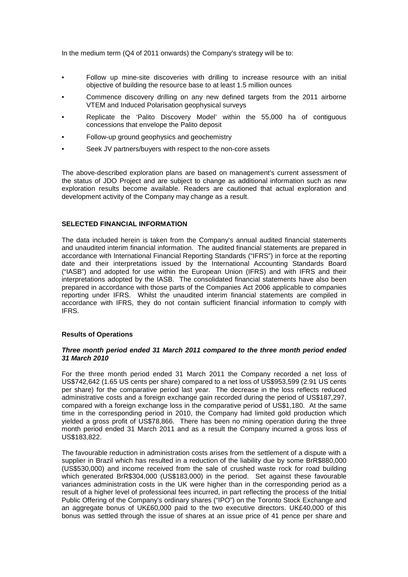In the medium term (Q4 of 2011 onwards) the Company's strategy will be to:

- Follow up mine-site discoveries with drilling to increase resource with an initial objective of building the resource base to at least 1.5 million ounces
- Commence discovery drilling on any new defined targets from the 2011 airborne VTEM and Induced Polarisation geophysical surveys
- Replicate the 'Palito Discovery Model' within the 55,000 ha of contiguous concessions that envelope the Palito deposit
- Follow-up ground geophysics and geochemistry
- Seek JV partners/buyers with respect to the non-core assets

The above-described exploration plans are based on management's current assessment of the status of JDO Project and are subject to change as additional information such as new exploration results become available. Readers are cautioned that actual exploration and development activity of the Company may change as a result.

# **SELECTED FINANCIAL INFORMATION**

The data included herein is taken from the Company's annual audited financial statements and unaudited interim financial information. The audited financial statements are prepared in accordance with International Financial Reporting Standards ("IFRS") in force at the reporting date and their interpretations issued by the International Accounting Standards Board ("IASB") and adopted for use within the European Union (IFRS) and with IFRS and their interpretations adopted by the IASB. The consolidated financial statements have also been prepared in accordance with those parts of the Companies Act 2006 applicable to companies reporting under IFRS. Whilst the unaudited interim financial statements are compiled in accordance with IFRS, they do not contain sufficient financial information to comply with IFRS.

# **Results of Operations**

# **Three month period ended 31 March 2011 compared to the three month period ended 31 March 2010**

For the three month period ended 31 March 2011 the Company recorded a net loss of US\$742,642 (1.65 US cents per share) compared to a net loss of US\$953,599 (2.91 US cents per share) for the comparative period last year. The decrease in the loss reflects reduced administrative costs and a foreign exchange gain recorded during the period of US\$187,297, compared with a foreign exchange loss in the comparative period of US\$1,180. At the same time in the corresponding period in 2010, the Company had limited gold production which yielded a gross profit of US\$78,866. There has been no mining operation during the three month period ended 31 March 2011 and as a result the Company incurred a gross loss of US\$183,822.

The favourable reduction in administration costs arises from the settlement of a dispute with a supplier in Brazil which has resulted in a reduction of the liability due by some BrR\$880,000 (US\$530,000) and income received from the sale of crushed waste rock for road building which generated BrR\$304,000 (US\$183,000) in the period. Set against these favourable variances administration costs in the UK were higher than in the corresponding period as a result of a higher level of professional fees incurred, in part reflecting the process of the Initial Public Offering of the Company's ordinary shares ("IPO") on the Toronto Stock Exchange and an aggregate bonus of UK£60,000 paid to the two executive directors. UK£40,000 of this bonus was settled through the issue of shares at an issue price of 41 pence per share and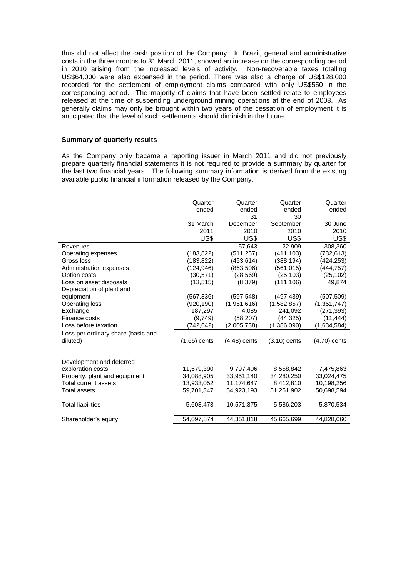thus did not affect the cash position of the Company. In Brazil, general and administrative costs in the three months to 31 March 2011, showed an increase on the corresponding period in 2010 arising from the increased levels of activity. Non-recoverable taxes totalling US\$64,000 were also expensed in the period. There was also a charge of US\$128,000 recorded for the settlement of employment claims compared with only US\$550 in the corresponding period. The majority of claims that have been settled relate to employees released at the time of suspending underground mining operations at the end of 2008. As generally claims may only be brought within two years of the cessation of employment it is anticipated that the level of such settlements should diminish in the future.

# **Summary of quarterly results**

As the Company only became a reporting issuer in March 2011 and did not previously prepare quarterly financial statements it is not required to provide a summary by quarter for the last two financial years. The following summary information is derived from the existing available public financial information released by the Company.

|                                    | Quarter        | Quarter        | Quarter        | Quarter        |
|------------------------------------|----------------|----------------|----------------|----------------|
|                                    | ended          | ended          | ended          | ended          |
|                                    |                | 31             | 30             |                |
|                                    | 31 March       | December       | September      | 30 June        |
|                                    | 2011           | 2010           | 2010           | 2010           |
|                                    | US\$           | US\$           | US\$           | US\$           |
| Revenues                           |                | 57,643         | 22,909         | 308,360        |
| Operating expenses                 | (183, 822)     | (511,257)      | (411,103)      | (732,613)      |
| Gross loss                         | (183, 822)     | (453, 614)     | (388, 194)     | (424, 253)     |
| Administration expenses            | (124, 946)     | (863,506)      | (561,015)      | (444, 757)     |
| Option costs                       | (30, 571)      | (28, 569)      | (25, 103)      | (25, 102)      |
| Loss on asset disposals            | (13, 515)      | (8,379)        | (111, 106)     | 49,874         |
| Depreciation of plant and          |                |                |                |                |
| equipment                          | (567,336)      | (597,548)      | (497,439)      | (507, 509)     |
| <b>Operating loss</b>              | (920, 190)     | (1,951,616)    | (1,582,857)    | (1, 351, 747)  |
| Exchange                           | 187,297        | 4,085          | 241,092        | (271, 393)     |
| Finance costs                      | (9,749)        | (58, 207)      | (44,325)       | (11, 444)      |
| Loss before taxation               | (742,642)      | (2,005,738)    | (1,386,090)    | (1,634,584)    |
| Loss per ordinary share (basic and |                |                |                |                |
| diluted)                           | $(1.65)$ cents | $(4.48)$ cents | $(3.10)$ cents | $(4.70)$ cents |
|                                    |                |                |                |                |
|                                    |                |                |                |                |
| Development and deferred           |                |                |                |                |
| exploration costs                  | 11,679,390     | 9,797,406      | 8,558,842      | 7,475,863      |
| Property, plant and equipment      | 34,088,905     | 33,951,140     | 34,280,250     | 33,024,475     |
| Total current assets               | 13,933,052     | 11,174,647     | 8,412,810      | 10,198,256     |
| Total assets                       | 59,701,347     | 54,923,193     | 51,251,902     | 50,698,594     |
|                                    |                |                |                |                |
| <b>Total liabilities</b>           | 5,603,473      | 10,571,375     | 5,586,203      | 5,870,534      |
|                                    |                |                |                |                |
| Shareholder's equity               | 54,097,874     | 44,351,818     | 45,665,699     | 44,828,060     |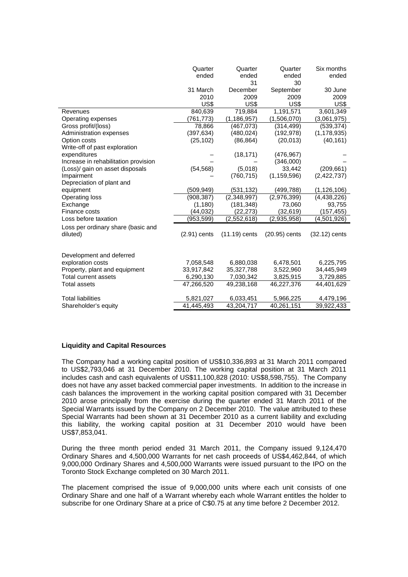|                                      | Quarter<br>ended         | Quarter<br>ended<br>31   | Quarter<br>ended<br>30    | Six months<br>ended     |
|--------------------------------------|--------------------------|--------------------------|---------------------------|-------------------------|
|                                      | 31 March<br>2010<br>US\$ | December<br>2009<br>US\$ | September<br>2009<br>US\$ | 30 June<br>2009<br>US\$ |
| Revenues                             | 840,639                  | 719,884                  | 1,191,571                 | 3,601,349               |
| Operating expenses                   | (761, 773)               | (1, 186, 957)            | (1,506,070)               | (3,061,975)             |
| Gross profit/(loss)                  | 78,866                   | (467,073)                | (314, 499)                | (539, 374)              |
| Administration expenses              | (397, 634)               | (480, 024)               | (192, 978)                | (1, 178, 935)           |
| Option costs                         | (25, 102)                | (86, 864)                | (20, 013)                 | (40, 161)               |
| Write-off of past exploration        |                          |                          |                           |                         |
| expenditures                         |                          | (18, 171)                | (476, 967)                |                         |
| Increase in rehabilitation provision |                          |                          | (346,000)                 |                         |
| (Loss)/ gain on asset disposals      | (54, 568)                | (5,018)                  | 33,442                    | (209, 661)              |
| Impairment                           |                          | (760, 715)               | (1, 159, 596)             | (2,422,737)             |
| Depreciation of plant and            |                          |                          |                           |                         |
| equipment                            | (509,949)                | (531, 132)               | (499, 788)                | (1, 126, 106)           |
| Operating loss                       | (908, 387)               | (2,348,997)              | (2,976,399)               | (4,438,226)             |
| Exchange                             | (1, 180)                 | (181, 348)               | 73,060                    | 93,755                  |
| Finance costs                        | (44, 032)                | (22, 273)                | (32, 619)                 | (157, 455)              |
| Loss before taxation                 | (953,599)                | (2,552,618)              | (2,935,958)               | (4,501,926)             |
| Loss per ordinary share (basic and   |                          |                          |                           |                         |
| diluted)                             | $(2.91)$ cents           | $(11.19)$ cents          | $(20.95)$ cents           | $(32.12)$ cents         |
| Development and deferred             |                          |                          |                           |                         |
| exploration costs                    | 7,058,548                | 6,880,038                | 6,478,501                 | 6,225,795               |
| Property, plant and equipment        | 33,917,842               | 35,327,788               | 3,522,960                 | 34,445,949              |
| <b>Total current assets</b>          | 6,290,130                | 7,030,342                | 3,825,915                 | 3,729,885               |
| <b>Total assets</b>                  | 47,266,520               | 49,238,168               | 46,227,376                | 44,401,629              |
| <b>Total liabilities</b>             | 5,821,027                | 6,033,451                | 5,966,225                 | 4,479,196               |
| Shareholder's equity                 | 41,445,493               | 43,204,717               | 40,261,151                | 39,922,433              |

# **Liquidity and Capital Resources**

The Company had a working capital position of US\$10,336,893 at 31 March 2011 compared to US\$2,793,046 at 31 December 2010. The working capital position at 31 March 2011 includes cash and cash equivalents of US\$11,100,828 (2010: US\$8,598,755). The Company does not have any asset backed commercial paper investments. In addition to the increase in cash balances the improvement in the working capital position compared with 31 December 2010 arose principally from the exercise during the quarter ended 31 March 2011 of the Special Warrants issued by the Company on 2 December 2010. The value attributed to these Special Warrants had been shown at 31 December 2010 as a current liability and excluding this liability, the working capital position at 31 December 2010 would have been US\$7,853,041.

During the three month period ended 31 March 2011, the Company issued 9,124,470 Ordinary Shares and 4,500,000 Warrants for net cash proceeds of US\$4,462,844, of which 9,000,000 Ordinary Shares and 4,500,000 Warrants were issued pursuant to the IPO on the Toronto Stock Exchange completed on 30 March 2011.

The placement comprised the issue of 9,000,000 units where each unit consists of one Ordinary Share and one half of a Warrant whereby each whole Warrant entitles the holder to subscribe for one Ordinary Share at a price of C\$0.75 at any time before 2 December 2012.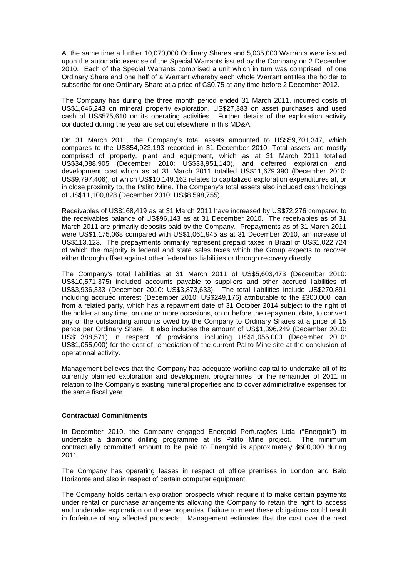At the same time a further 10,070,000 Ordinary Shares and 5,035,000 Warrants were issued upon the automatic exercise of the Special Warrants issued by the Company on 2 December 2010. Each of the Special Warrants comprised a unit which in turn was comprised of one Ordinary Share and one half of a Warrant whereby each whole Warrant entitles the holder to subscribe for one Ordinary Share at a price of C\$0.75 at any time before 2 December 2012.

The Company has during the three month period ended 31 March 2011, incurred costs of US\$1,646,243 on mineral property exploration, US\$27,383 on asset purchases and used cash of US\$575,610 on its operating activities. Further details of the exploration activity conducted during the year are set out elsewhere in this MD&A.

On 31 March 2011, the Company's total assets amounted to US\$59,701,347, which compares to the US\$54,923,193 recorded in 31 December 2010. Total assets are mostly comprised of property, plant and equipment, which as at 31 March 2011 totalled US\$34,088,905 (December 2010: US\$33,951,140), and deferred exploration and development cost which as at 31 March 2011 totalled US\$11,679,390 (December 2010: US\$9,797,406), of which US\$10,149,162 relates to capitalized exploration expenditures at, or in close proximity to, the Palito Mine. The Company's total assets also included cash holdings of US\$11,100,828 (December 2010: US\$8,598,755).

Receivables of US\$168,419 as at 31 March 2011 have increased by US\$72,276 compared to the receivables balance of US\$96,143 as at 31 December 2010. The receivables as of 31 March 2011 are primarily deposits paid by the Company. Prepayments as of 31 March 2011 were US\$1,175,068 compared with US\$1,061,945 as at 31 December 2010, an increase of US\$113,123. The prepayments primarily represent prepaid taxes in Brazil of US\$1,022,724 of which the majority is federal and state sales taxes which the Group expects to recover either through offset against other federal tax liabilities or through recovery directly.

The Company's total liabilities at 31 March 2011 of US\$5,603,473 (December 2010: US\$10,571,375) included accounts payable to suppliers and other accrued liabilities of US\$3,936,333 (December 2010: US\$3,873,633). The total liabilities include US\$270,891 including accrued interest (December 2010: US\$249,176) attributable to the £300,000 loan from a related party, which has a repayment date of 31 October 2014 subject to the right of the holder at any time, on one or more occasions, on or before the repayment date, to convert any of the outstanding amounts owed by the Company to Ordinary Shares at a price of 15 pence per Ordinary Share. It also includes the amount of US\$1,396,249 (December 2010: US\$1,388,571) in respect of provisions including US\$1,055,000 (December 2010: US\$1,055,000) for the cost of remediation of the current Palito Mine site at the conclusion of operational activity.

Management believes that the Company has adequate working capital to undertake all of its currently planned exploration and development programmes for the remainder of 2011 in relation to the Company's existing mineral properties and to cover administrative expenses for the same fiscal year.

# **Contractual Commitments**

In December 2010, the Company engaged Energold Perfurações Ltda ("Energold") to undertake a diamond drilling programme at its Palito Mine project. The minimum contractually committed amount to be paid to Energold is approximately \$600,000 during 2011.

The Company has operating leases in respect of office premises in London and Belo Horizonte and also in respect of certain computer equipment.

The Company holds certain exploration prospects which require it to make certain payments under rental or purchase arrangements allowing the Company to retain the right to access and undertake exploration on these properties. Failure to meet these obligations could result in forfeiture of any affected prospects. Management estimates that the cost over the next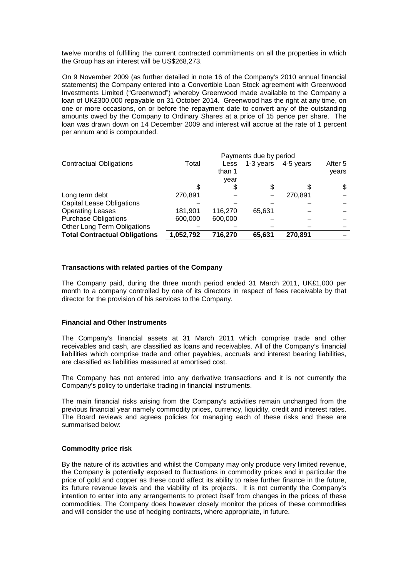twelve months of fulfilling the current contracted commitments on all the properties in which the Group has an interest will be US\$268,273.

On 9 November 2009 (as further detailed in note 16 of the Company's 2010 annual financial statements) the Company entered into a Convertible Loan Stock agreement with Greenwood Investments Limited ("Greenwood") whereby Greenwood made available to the Company a loan of UK£300,000 repayable on 31 October 2014. Greenwood has the right at any time, on one or more occasions, on or before the repayment date to convert any of the outstanding amounts owed by the Company to Ordinary Shares at a price of 15 pence per share. The loan was drawn down on 14 December 2009 and interest will accrue at the rate of 1 percent per annum and is compounded.

|                                      |           |         | Payments due by period |           |         |
|--------------------------------------|-----------|---------|------------------------|-----------|---------|
| <b>Contractual Obligations</b>       | Total     | Less    | 1-3 years              | 4-5 years | After 5 |
|                                      |           | than 1  |                        |           | years   |
|                                      |           | year    |                        |           |         |
|                                      |           | S       | S                      | S         | \$      |
| Long term debt                       | 270.891   |         |                        | 270,891   |         |
| <b>Capital Lease Obligations</b>     |           |         |                        |           |         |
| <b>Operating Leases</b>              | 181,901   | 116,270 | 65,631                 |           |         |
| <b>Purchase Obligations</b>          | 600,000   | 600,000 |                        |           |         |
| Other Long Term Obligations          |           |         |                        |           |         |
| <b>Total Contractual Obligations</b> | 1,052,792 | 716,270 | 65,631                 | 270,891   |         |

# **Transactions with related parties of the Company**

The Company paid, during the three month period ended 31 March 2011, UK£1,000 per month to a company controlled by one of its directors in respect of fees receivable by that director for the provision of his services to the Company.

# **Financial and Other Instruments**

The Company's financial assets at 31 March 2011 which comprise trade and other receivables and cash, are classified as loans and receivables. All of the Company's financial liabilities which comprise trade and other payables, accruals and interest bearing liabilities, are classified as liabilities measured at amortised cost.

The Company has not entered into any derivative transactions and it is not currently the Company's policy to undertake trading in financial instruments.

The main financial risks arising from the Company's activities remain unchanged from the previous financial year namely commodity prices, currency, liquidity, credit and interest rates. The Board reviews and agrees policies for managing each of these risks and these are summarised below:

# **Commodity price risk**

By the nature of its activities and whilst the Company may only produce very limited revenue, the Company is potentially exposed to fluctuations in commodity prices and in particular the price of gold and copper as these could affect its ability to raise further finance in the future, its future revenue levels and the viability of its projects. It is not currently the Company's intention to enter into any arrangements to protect itself from changes in the prices of these commodities. The Company does however closely monitor the prices of these commodities and will consider the use of hedging contracts, where appropriate, in future.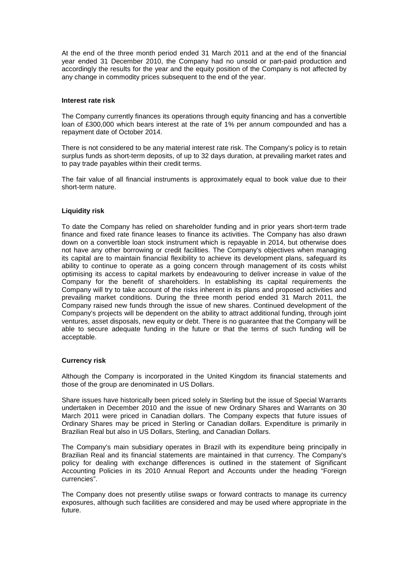At the end of the three month period ended 31 March 2011 and at the end of the financial year ended 31 December 2010, the Company had no unsold or part-paid production and accordingly the results for the year and the equity position of the Company is not affected by any change in commodity prices subsequent to the end of the year.

#### **Interest rate risk**

The Company currently finances its operations through equity financing and has a convertible loan of £300,000 which bears interest at the rate of 1% per annum compounded and has a repayment date of October 2014.

There is not considered to be any material interest rate risk. The Company's policy is to retain surplus funds as short-term deposits, of up to 32 days duration, at prevailing market rates and to pay trade payables within their credit terms.

The fair value of all financial instruments is approximately equal to book value due to their short-term nature.

# **Liquidity risk**

To date the Company has relied on shareholder funding and in prior years short-term trade finance and fixed rate finance leases to finance its activities. The Company has also drawn down on a convertible loan stock instrument which is repayable in 2014, but otherwise does not have any other borrowing or credit facilities. The Company's objectives when managing its capital are to maintain financial flexibility to achieve its development plans, safeguard its ability to continue to operate as a going concern through management of its costs whilst optimising its access to capital markets by endeavouring to deliver increase in value of the Company for the benefit of shareholders. In establishing its capital requirements the Company will try to take account of the risks inherent in its plans and proposed activities and prevailing market conditions. During the three month period ended 31 March 2011, the Company raised new funds through the issue of new shares. Continued development of the Company's projects will be dependent on the ability to attract additional funding, through joint ventures, asset disposals, new equity or debt. There is no guarantee that the Company will be able to secure adequate funding in the future or that the terms of such funding will be acceptable.

# **Currency risk**

Although the Company is incorporated in the United Kingdom its financial statements and those of the group are denominated in US Dollars.

Share issues have historically been priced solely in Sterling but the issue of Special Warrants undertaken in December 2010 and the issue of new Ordinary Shares and Warrants on 30 March 2011 were priced in Canadian dollars. The Company expects that future issues of Ordinary Shares may be priced in Sterling or Canadian dollars. Expenditure is primarily in Brazilian Real but also in US Dollars, Sterling, and Canadian Dollars.

The Company's main subsidiary operates in Brazil with its expenditure being principally in Brazilian Real and its financial statements are maintained in that currency. The Company's policy for dealing with exchange differences is outlined in the statement of Significant Accounting Policies in its 2010 Annual Report and Accounts under the heading "Foreign currencies".

The Company does not presently utilise swaps or forward contracts to manage its currency exposures, although such facilities are considered and may be used where appropriate in the future.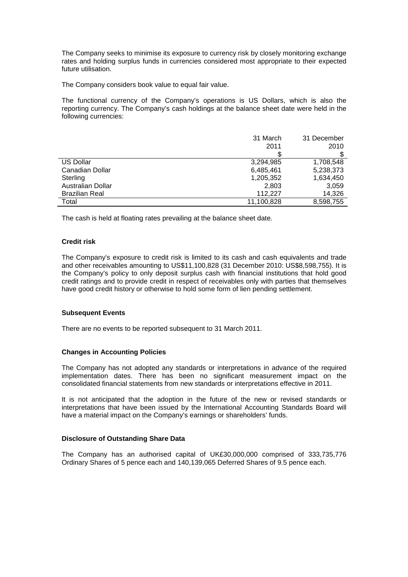The Company seeks to minimise its exposure to currency risk by closely monitoring exchange rates and holding surplus funds in currencies considered most appropriate to their expected future utilisation.

The Company considers book value to equal fair value.

The functional currency of the Company's operations is US Dollars, which is also the reporting currency. The Company's cash holdings at the balance sheet date were held in the following currencies:

|                       | 31 March   | 31 December |
|-----------------------|------------|-------------|
|                       | 2011       | 2010        |
|                       | \$         | \$          |
| <b>US Dollar</b>      | 3,294,985  | 1,708,548   |
| Canadian Dollar       | 6,485,461  | 5,238,373   |
| Sterling              | 1,205,352  | 1.634.450   |
| Australian Dollar     | 2,803      | 3,059       |
| <b>Brazilian Real</b> | 112.227    | 14,326      |
| Total                 | 11,100,828 | 8,598,755   |

The cash is held at floating rates prevailing at the balance sheet date.

# **Credit risk**

The Company's exposure to credit risk is limited to its cash and cash equivalents and trade and other receivables amounting to US\$11,100,828 (31 December 2010: US\$8,598,755). It is the Company's policy to only deposit surplus cash with financial institutions that hold good credit ratings and to provide credit in respect of receivables only with parties that themselves have good credit history or otherwise to hold some form of lien pending settlement.

# **Subsequent Events**

There are no events to be reported subsequent to 31 March 2011.

# **Changes in Accounting Policies**

The Company has not adopted any standards or interpretations in advance of the required implementation dates. There has been no significant measurement impact on the consolidated financial statements from new standards or interpretations effective in 2011.

It is not anticipated that the adoption in the future of the new or revised standards or interpretations that have been issued by the International Accounting Standards Board will have a material impact on the Company's earnings or shareholders' funds.

# **Disclosure of Outstanding Share Data**

The Company has an authorised capital of UK£30,000,000 comprised of 333,735,776 Ordinary Shares of 5 pence each and 140,139,065 Deferred Shares of 9.5 pence each.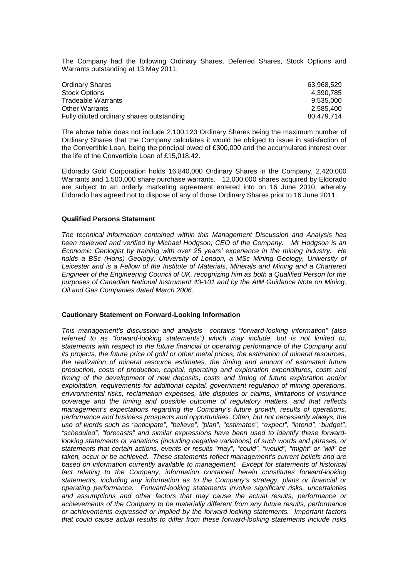The Company had the following Ordinary Shares, Deferred Shares, Stock Options and Warrants outstanding at 13 May 2011.

| 63.968.529 |
|------------|
| 4.390.785  |
| 9.535.000  |
| 2.585.400  |
| 80.479.714 |
|            |

The above table does not include 2,100,123 Ordinary Shares being the maximum number of Ordinary Shares that the Company calculates it would be obliged to issue in satisfaction of the Convertible Loan, being the principal owed of £300,000 and the accumulated interest over the life of the Convertible Loan of £15,018.42.

Eldorado Gold Corporation holds 16,840,000 Ordinary Shares in the Company, 2,420,000 Warrants and 1,500,000 share purchase warrants. 12,000,000 shares acquired by Eldorado are subject to an orderly marketing agreement entered into on 16 June 2010, whereby Eldorado has agreed not to dispose of any of those Ordinary Shares prior to 16 June 2011.

#### **Qualified Persons Statement**

The technical information contained within this Management Discussion and Analysis has been reviewed and verified by Michael Hodgson, CEO of the Company. Mr Hodgson is an Economic Geologist by training with over 25 years' experience in the mining industry. He holds a BSc (Hons) Geology, University of London, a MSc Mining Geology, University of Leicester and is a Fellow of the Institute of Materials, Minerals and Mining and a Chartered Engineer of the Engineering Council of UK, recognizing him as both a Qualified Person for the purposes of Canadian National Instrument 43-101 and by the AIM Guidance Note on Mining. Oil and Gas Companies dated March 2006.

# **Cautionary Statement on Forward-Looking Information**

This management's discussion and analysis contains "forward-looking information" (also referred to as "forward-looking statements") which may include, but is not limited to, statements with respect to the future financial or operating performance of the Company and its projects, the future price of gold or other metal prices, the estimation of mineral resources, the realization of mineral resource estimates, the timing and amount of estimated future production, costs of production, capital, operating and exploration expenditures, costs and timing of the development of new deposits, costs and timing of future exploration and/or exploitation, requirements for additional capital, government regulation of mining operations, environmental risks, reclamation expenses, title disputes or claims, limitations of insurance coverage and the timing and possible outcome of regulatory matters, and that reflects management's expectations regarding the Company's future growth, results of operations, performance and business prospects and opportunities. Often, but not necessarily always, the use of words such as "anticipate", "believe", "plan", "estimates", "expect", "intend", "budget", "scheduled", "forecasts" and similar expressions have been used to identify these forwardlooking statements or variations (including negative variations) of such words and phrases, or statements that certain actions, events or results "may", "could", "would", "might" or "will" be taken, occur or be achieved. These statements reflect management's current beliefs and are based on information currently available to management. Except for statements of historical fact relating to the Company, information contained herein constitutes forward-looking statements, including any information as to the Company's strategy, plans or financial or operating performance. Forward-looking statements involve significant risks, uncertainties and assumptions and other factors that may cause the actual results, performance or achievements of the Company to be materially different from any future results, performance or achievements expressed or implied by the forward-looking statements. Important factors that could cause actual results to differ from these forward-looking statements include risks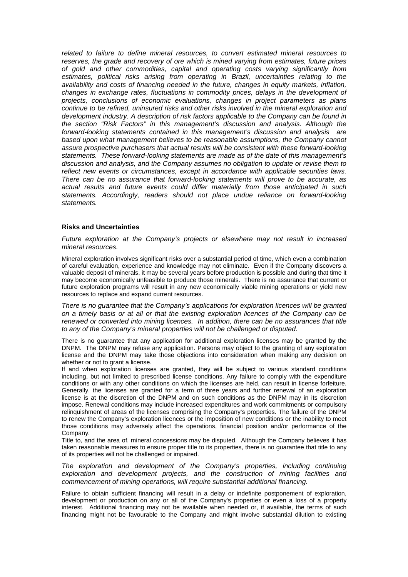related to failure to define mineral resources, to convert estimated mineral resources to reserves, the grade and recovery of ore which is mined varying from estimates, future prices of gold and other commodities, capital and operating costs varying significantly from estimates, political risks arising from operating in Brazil, uncertainties relating to the availability and costs of financing needed in the future, changes in equity markets, inflation, changes in exchange rates, fluctuations in commodity prices, delays in the development of projects, conclusions of economic evaluations, changes in project parameters as plans continue to be refined, uninsured risks and other risks involved in the mineral exploration and development industry. A description of risk factors applicable to the Company can be found in the section "Risk Factors" in this management's discussion and analysis. Although the forward-looking statements contained in this management's discussion and analysis are based upon what management believes to be reasonable assumptions, the Company cannot assure prospective purchasers that actual results will be consistent with these forward-looking statements. These forward-looking statements are made as of the date of this management's discussion and analysis, and the Company assumes no obligation to update or revise them to reflect new events or circumstances, except in accordance with applicable securities laws. There can be no assurance that forward-looking statements will prove to be accurate, as actual results and future events could differ materially from those anticipated in such statements. Accordingly, readers should not place undue reliance on forward-looking statements.

#### **Risks and Uncertainties**

Future exploration at the Company's projects or elsewhere may not result in increased mineral resources.

Mineral exploration involves significant risks over a substantial period of time, which even a combination of careful evaluation, experience and knowledge may not eliminate. Even if the Company discovers a valuable deposit of minerals, it may be several years before production is possible and during that time it may become economically unfeasible to produce those minerals. There is no assurance that current or future exploration programs will result in any new economically viable mining operations or yield new resources to replace and expand current resources.

There is no guarantee that the Company's applications for exploration licences will be granted on a timely basis or at all or that the existing exploration licences of the Company can be renewed or converted into mining licences. In addition, there can be no assurances that title to any of the Company's mineral properties will not be challenged or disputed.

There is no guarantee that any application for additional exploration licenses may be granted by the DNPM. The DNPM may refuse any application. Persons may object to the granting of any exploration license and the DNPM may take those objections into consideration when making any decision on whether or not to grant a license.

If and when exploration licenses are granted, they will be subject to various standard conditions including, but not limited to prescribed license conditions. Any failure to comply with the expenditure conditions or with any other conditions on which the licenses are held, can result in license forfeiture. Generally, the licenses are granted for a term of three years and further renewal of an exploration license is at the discretion of the DNPM and on such conditions as the DNPM may in its discretion impose. Renewal conditions may include increased expenditures and work commitments or compulsory relinquishment of areas of the licenses comprising the Company's properties. The failure of the DNPM to renew the Company's exploration licences or the imposition of new conditions or the inability to meet those conditions may adversely affect the operations, financial position and/or performance of the Company.

Title to, and the area of, mineral concessions may be disputed. Although the Company believes it has taken reasonable measures to ensure proper title to its properties, there is no guarantee that title to any of its properties will not be challenged or impaired.

The exploration and development of the Company's properties, including continuing exploration and development projects, and the construction of mining facilities and commencement of mining operations, will require substantial additional financing.

Failure to obtain sufficient financing will result in a delay or indefinite postponement of exploration, development or production on any or all of the Company's properties or even a loss of a property interest. Additional financing may not be available when needed or, if available, the terms of such financing might not be favourable to the Company and might involve substantial dilution to existing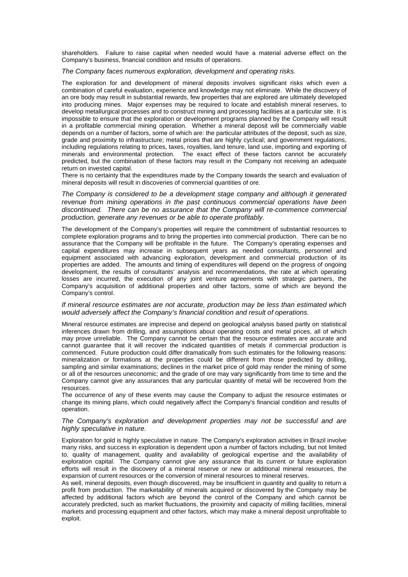shareholders. Failure to raise capital when needed would have a material adverse effect on the Company's business, financial condition and results of operations.

#### The Company faces numerous exploration, development and operating risks.

The exploration for and development of mineral deposits involves significant risks which even a combination of careful evaluation, experience and knowledge may not eliminate. While the discovery of an ore body may result in substantial rewards, few properties that are explored are ultimately developed into producing mines. Major expenses may be required to locate and establish mineral reserves, to develop metallurgical processes and to construct mining and processing facilities at a particular site. It is impossible to ensure that the exploration or development programs planned by the Company will result in a profitable commercial mining operation. Whether a mineral deposit will be commercially viable depends on a number of factors, some of which are: the particular attributes of the deposit, such as size, grade and proximity to infrastructure; metal prices that are highly cyclical; and government regulations, including regulations relating to prices, taxes, royalties, land tenure, land use, importing and exporting of minerals and environmental protection. The exact effect of these factors cannot be accurately predicted, but the combination of these factors may result in the Company not receiving an adequate return on invested capital.

There is no certainty that the expenditures made by the Company towards the search and evaluation of mineral deposits will result in discoveries of commercial quantities of ore.

The Company is considered to be a development stage company and although it generated revenue from mining operations in the past continuous commercial operations have been discontinued. There can be no assurance that the Company will re-commence commercial production, generate any revenues or be able to operate profitably.

The development of the Company's properties will require the commitment of substantial resources to complete exploration programs and to bring the properties into commercial production. There can be no assurance that the Company will be profitable in the future. The Company's operating expenses and capital expenditures may increase in subsequent years as needed consultants, personnel and equipment associated with advancing exploration, development and commercial production of its properties are added. The amounts and timing of expenditures will depend on the progress of ongoing development, the results of consultants' analysis and recommendations, the rate at which operating losses are incurred, the execution of any joint venture agreements with strategic partners, the Company's acquisition of additional properties and other factors, some of which are beyond the Company's control.

#### If mineral resource estimates are not accurate, production may be less than estimated which would adversely affect the Company's financial condition and result of operations.

Mineral resource estimates are imprecise and depend on geological analysis based partly on statistical inferences drawn from drilling, and assumptions about operating costs and metal prices, all of which may prove unreliable. The Company cannot be certain that the resource estimates are accurate and cannot guarantee that it will recover the indicated quantities of metals if commercial production is commenced. Future production could differ dramatically from such estimates for the following reasons: mineralization or formations at the properties could be different from those predicted by drilling, sampling and similar examinations; declines in the market price of gold may render the mining of some or all of the resources uneconomic; and the grade of ore may vary significantly from time to time and the Company cannot give any assurances that any particular quantity of metal will be recovered from the resources.

The occurrence of any of these events may cause the Company to adjust the resource estimates or change its mining plans, which could negatively affect the Company's financial condition and results of operation.

#### The Company's exploration and development properties may not be successful and are highly speculative in nature.

Exploration for gold is highly speculative in nature. The Company's exploration activities in Brazil involve many risks, and success in exploration is dependent upon a number of factors including, but not limited to, quality of management, quality and availability of geological expertise and the availability of exploration capital. The Company cannot give any assurance that its current or future exploration efforts will result in the discovery of a mineral reserve or new or additional mineral resources, the expansion of current resources or the conversion of mineral resources to mineral reserves.

As well, mineral deposits, even though discovered, may be insufficient in quantity and quality to return a profit from production. The marketability of minerals acquired or discovered by the Company may be affected by additional factors which are beyond the control of the Company and which cannot be accurately predicted, such as market fluctuations, the proximity and capacity of milling facilities, mineral markets and processing equipment and other factors, which may make a mineral deposit unprofitable to exploit.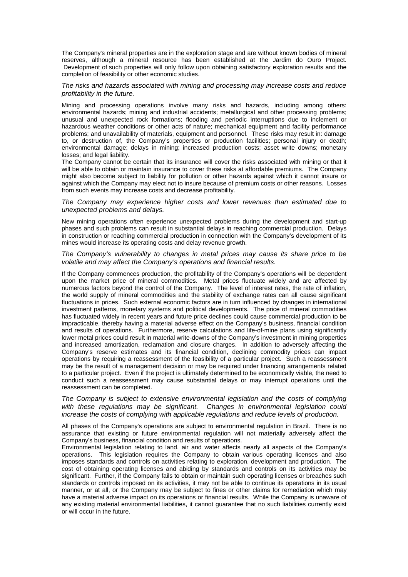The Company's mineral properties are in the exploration stage and are without known bodies of mineral reserves, although a mineral resource has been established at the Jardim do Ouro Project. Development of such properties will only follow upon obtaining satisfactory exploration results and the completion of feasibility or other economic studies.

#### The risks and hazards associated with mining and processing may increase costs and reduce profitability in the future.

Mining and processing operations involve many risks and hazards, including among others: environmental hazards; mining and industrial accidents; metallurgical and other processing problems; unusual and unexpected rock formations; flooding and periodic interruptions due to inclement or hazardous weather conditions or other acts of nature; mechanical equipment and facility performance problems; and unavailability of materials, equipment and personnel. These risks may result in: damage to, or destruction of, the Company's properties or production facilities; personal injury or death; environmental damage; delays in mining; increased production costs; asset write downs; monetary losses; and legal liability.

The Company cannot be certain that its insurance will cover the risks associated with mining or that it will be able to obtain or maintain insurance to cover these risks at affordable premiums. The Company might also become subject to liability for pollution or other hazards against which it cannot insure or against which the Company may elect not to insure because of premium costs or other reasons. Losses from such events may increase costs and decrease profitability.

#### The Company may experience higher costs and lower revenues than estimated due to unexpected problems and delays.

New mining operations often experience unexpected problems during the development and start-up phases and such problems can result in substantial delays in reaching commercial production. Delays in construction or reaching commercial production in connection with the Company's development of its mines would increase its operating costs and delay revenue growth.

#### The Company's vulnerability to changes in metal prices may cause its share price to be volatile and may affect the Company's operations and financial results.

If the Company commences production, the profitability of the Company's operations will be dependent upon the market price of mineral commodities. Metal prices fluctuate widely and are affected by numerous factors beyond the control of the Company. The level of interest rates, the rate of inflation, the world supply of mineral commodities and the stability of exchange rates can all cause significant fluctuations in prices. Such external economic factors are in turn influenced by changes in international investment patterns, monetary systems and political developments. The price of mineral commodities has fluctuated widely in recent years and future price declines could cause commercial production to be impracticable, thereby having a material adverse effect on the Company's business, financial condition and results of operations. Furthermore, reserve calculations and life-of-mine plans using significantly lower metal prices could result in material write-downs of the Company's investment in mining properties and increased amortization, reclamation and closure charges. In addition to adversely affecting the Company's reserve estimates and its financial condition, declining commodity prices can impact operations by requiring a reassessment of the feasibility of a particular project. Such a reassessment may be the result of a management decision or may be required under financing arrangements related to a particular project. Even if the project is ultimately determined to be economically viable, the need to conduct such a reassessment may cause substantial delays or may interrupt operations until the reassessment can be completed.

#### The Company is subject to extensive environmental legislation and the costs of complying with these regulations may be significant. Changes in environmental legislation could increase the costs of complying with applicable regulations and reduce levels of production.

All phases of the Company's operations are subject to environmental regulation in Brazil. There is no assurance that existing or future environmental regulation will not materially adversely affect the Company's business, financial condition and results of operations.

Environmental legislation relating to land, air and water affects nearly all aspects of the Company's operations. This legislation requires the Company to obtain various operating licenses and also imposes standards and controls on activities relating to exploration, development and production. The cost of obtaining operating licenses and abiding by standards and controls on its activities may be significant. Further, if the Company fails to obtain or maintain such operating licenses or breaches such standards or controls imposed on its activities, it may not be able to continue its operations in its usual manner, or at all, or the Company may be subject to fines or other claims for remediation which may have a material adverse impact on its operations or financial results. While the Company is unaware of any existing material environmental liabilities, it cannot guarantee that no such liabilities currently exist or will occur in the future.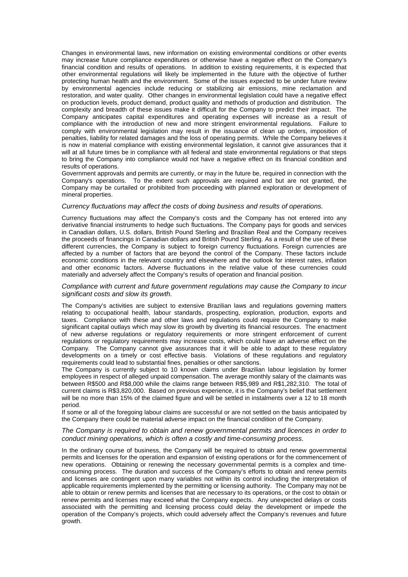Changes in environmental laws, new information on existing environmental conditions or other events may increase future compliance expenditures or otherwise have a negative effect on the Company's financial condition and results of operations. In addition to existing requirements, it is expected that other environmental regulations will likely be implemented in the future with the objective of further protecting human health and the environment. Some of the issues expected to be under future review by environmental agencies include reducing or stabilizing air emissions, mine reclamation and restoration, and water quality. Other changes in environmental legislation could have a negative effect on production levels, product demand, product quality and methods of production and distribution. The complexity and breadth of these issues make it difficult for the Company to predict their impact. The Company anticipates capital expenditures and operating expenses will increase as a result of compliance with the introduction of new and more stringent environmental regulations. Failure to comply with environmental legislation may result in the issuance of clean up orders, imposition of penalties, liability for related damages and the loss of operating permits. While the Company believes it is now in material compliance with existing environmental legislation, it cannot give assurances that it will at all future times be in compliance with all federal and state environmental regulations or that steps to bring the Company into compliance would not have a negative effect on its financial condition and results of operations.

Government approvals and permits are currently, or may in the future be, required in connection with the Company's operations. To the extent such approvals are required and but are not granted, the Company may be curtailed or prohibited from proceeding with planned exploration or development of mineral properties.

#### Currency fluctuations may affect the costs of doing business and results of operations.

Currency fluctuations may affect the Company's costs and the Company has not entered into any derivative financial instruments to hedge such fluctuations. The Company pays for goods and services in Canadian dollars, U.S. dollars, British Pound Sterling and Brazilian Real and the Company receives the proceeds of financings in Canadian dollars and British Pound Sterling. As a result of the use of these different currencies, the Company is subject to foreign currency fluctuations. Foreign currencies are affected by a number of factors that are beyond the control of the Company. These factors include economic conditions in the relevant country and elsewhere and the outlook for interest rates, inflation and other economic factors. Adverse fluctuations in the relative value of these currencies could materially and adversely affect the Company's results of operation and financial position.

#### Compliance with current and future government regulations may cause the Company to incur significant costs and slow its growth.

The Company's activities are subject to extensive Brazilian laws and regulations governing matters relating to occupational health, labour standards, prospecting, exploration, production, exports and taxes. Compliance with these and other laws and regulations could require the Company to make significant capital outlays which may slow its growth by diverting its financial resources. The enactment of new adverse regulations or regulatory requirements or more stringent enforcement of current regulations or regulatory requirements may increase costs, which could have an adverse effect on the Company. The Company cannot give assurances that it will be able to adapt to these regulatory developments on a timely or cost effective basis. Violations of these regulations and regulatory requirements could lead to substantial fines, penalties or other sanctions.

The Company is currently subject to 10 known claims under Brazilian labour legislation by former employees in respect of alleged unpaid compensation. The average monthly salary of the claimants was between R\$500 and R\$8,000 while the claims range between R\$5,989 and R\$1,282,310. The total of current claims is R\$3,820,000. Based on previous experience, it is the Company's belief that settlement will be no more than 15% of the claimed figure and will be settled in instalments over a 12 to 18 month period.

If some or all of the foregoing labour claims are successful or are not settled on the basis anticipated by the Company there could be material adverse impact on the financial condition of the Company.

#### The Company is required to obtain and renew governmental permits and licences in order to conduct mining operations, which is often a costly and time-consuming process.

In the ordinary course of business, the Company will be required to obtain and renew governmental permits and licenses for the operation and expansion of existing operations or for the commencement of new operations. Obtaining or renewing the necessary governmental permits is a complex and timeconsuming process. The duration and success of the Company's efforts to obtain and renew permits and licenses are contingent upon many variables not within its control including the interpretation of applicable requirements implemented by the permitting or licensing authority. The Company may not be able to obtain or renew permits and licenses that are necessary to its operations, or the cost to obtain or renew permits and licenses may exceed what the Company expects. Any unexpected delays or costs associated with the permitting and licensing process could delay the development or impede the operation of the Company's projects, which could adversely affect the Company's revenues and future growth.